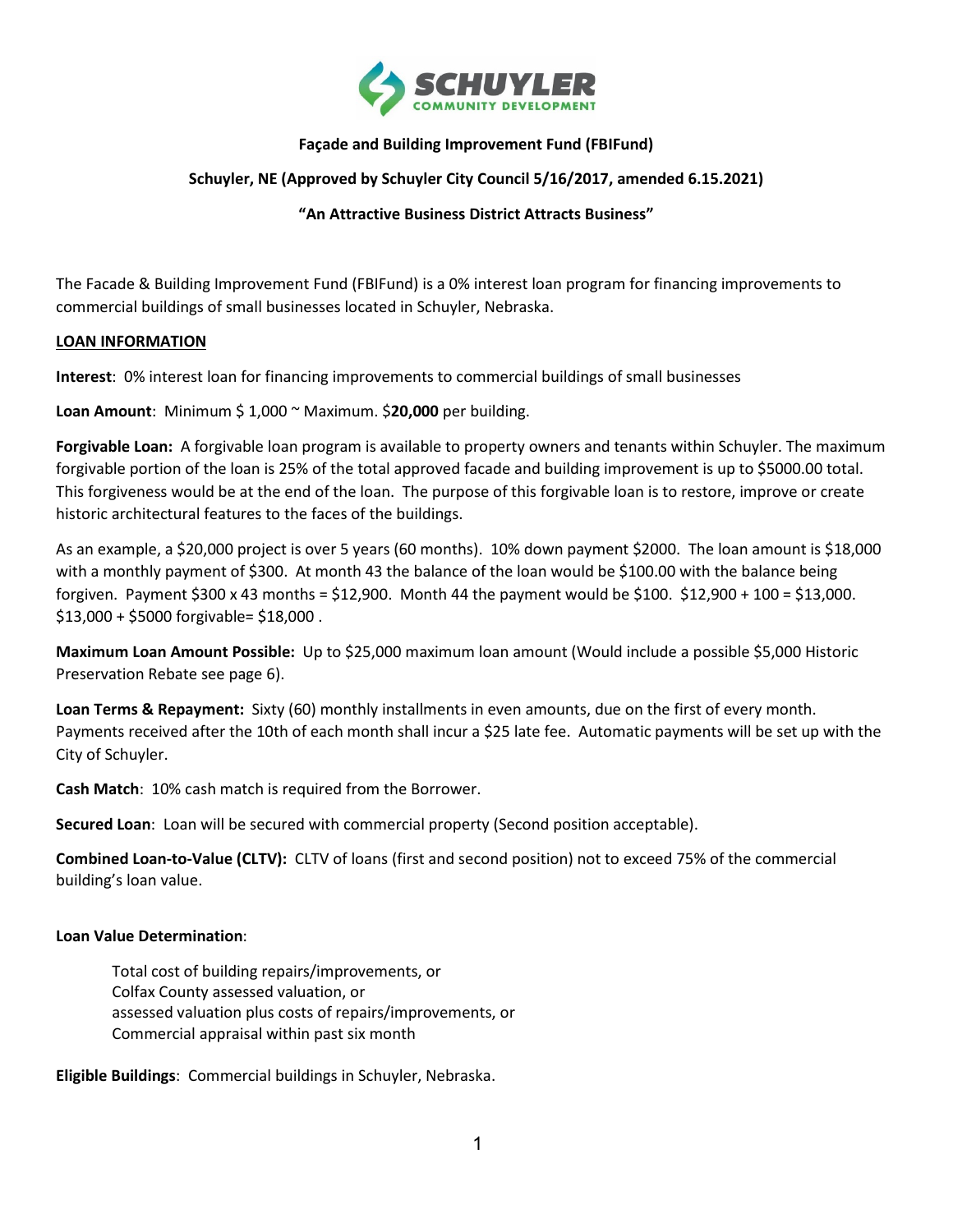

#### **Façade and Building Improvement Fund (FBIFund)**

#### **Schuyler, NE (Approved by Schuyler City Council 5/16/2017, amended 6.15.2021)**

#### **"An Attractive Business District Attracts Business"**

The Facade & Building Improvement Fund (FBIFund) is a 0% interest loan program for financing improvements to commercial buildings of small businesses located in Schuyler, Nebraska.

#### **LOAN INFORMATION**

**Interest**: 0% interest loan for financing improvements to commercial buildings of small businesses

**Loan Amount**: Minimum \$ 1,000 ~ Maximum. \$**20,000** per building.

**Forgivable Loan:** A forgivable loan program is available to property owners and tenants within Schuyler. The maximum forgivable portion of the loan is 25% of the total approved facade and building improvement is up to \$5000.00 total. This forgiveness would be at the end of the loan. The purpose of this forgivable loan is to restore, improve or create historic architectural features to the faces of the buildings.

As an example, a \$20,000 project is over 5 years (60 months). 10% down payment \$2000. The loan amount is \$18,000 with a monthly payment of \$300. At month 43 the balance of the loan would be \$100.00 with the balance being forgiven. Payment \$300 x 43 months = \$12,900. Month 44 the payment would be \$100. \$12,900 + 100 = \$13,000. \$13,000 + \$5000 forgivable= \$18,000 .

**Maximum Loan Amount Possible:** Up to \$25,000 maximum loan amount (Would include a possible \$5,000 Historic Preservation Rebate see page 6).

**Loan Terms & Repayment:** Sixty (60) monthly installments in even amounts, due on the first of every month. Payments received after the 10th of each month shall incur a \$25 late fee. Automatic payments will be set up with the City of Schuyler.

**Cash Match**: 10% cash match is required from the Borrower.

**Secured Loan**: Loan will be secured with commercial property (Second position acceptable).

**Combined Loan-to-Value (CLTV):** CLTV of loans (first and second position) not to exceed 75% of the commercial building's loan value.

#### **Loan Value Determination**:

Total cost of building repairs/improvements, or Colfax County assessed valuation, or assessed valuation plus costs of repairs/improvements, or Commercial appraisal within past six month

**Eligible Buildings**: Commercial buildings in Schuyler, Nebraska.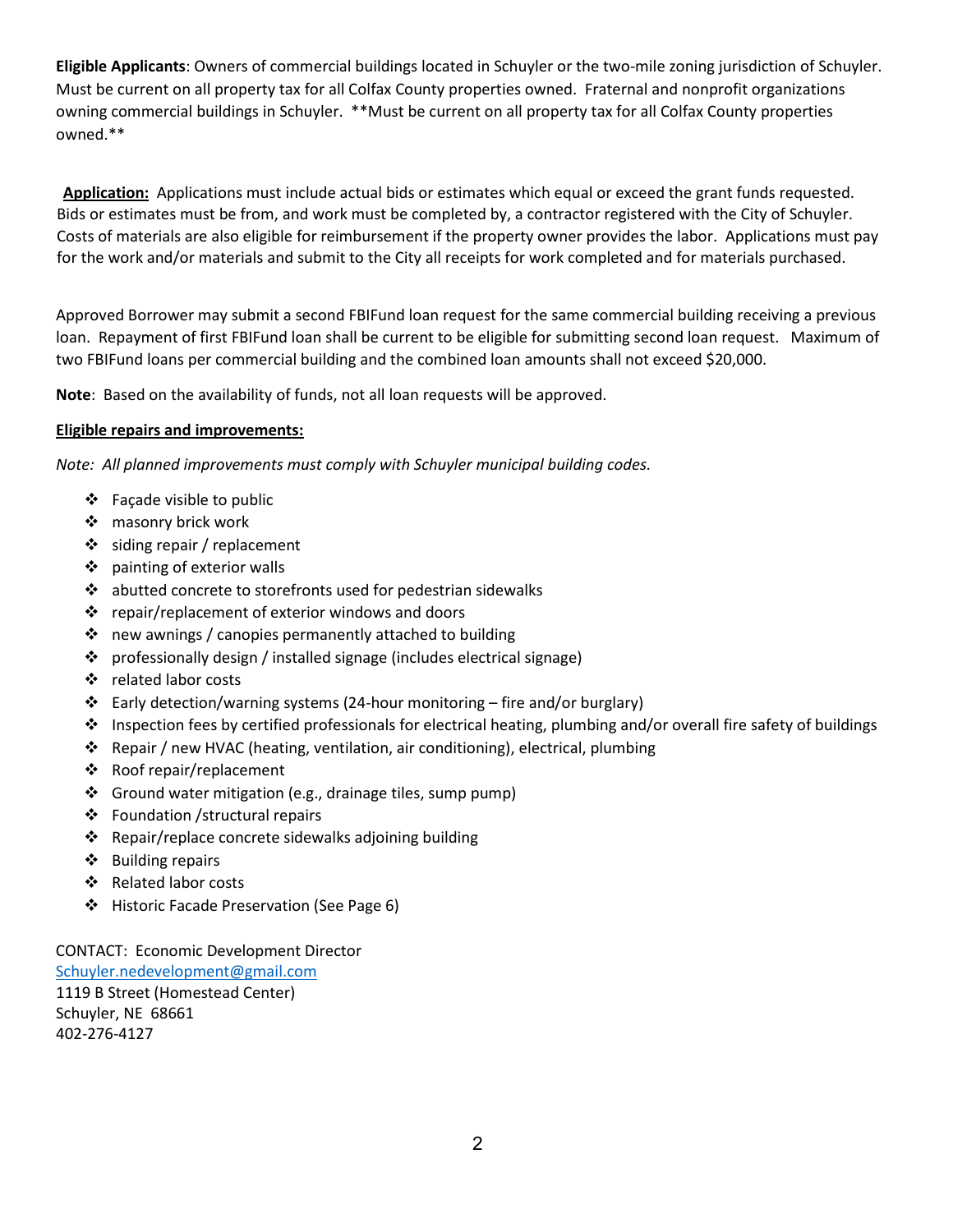**Eligible Applicants**: Owners of commercial buildings located in Schuyler or the two-mile zoning jurisdiction of Schuyler. Must be current on all property tax for all Colfax County properties owned. Fraternal and nonprofit organizations owning commercial buildings in Schuyler. \*\*Must be current on all property tax for all Colfax County properties owned.\*\*

**Application:** Applications must include actual bids or estimates which equal or exceed the grant funds requested. Bids or estimates must be from, and work must be completed by, a contractor registered with the City of Schuyler. Costs of materials are also eligible for reimbursement if the property owner provides the labor. Applications must pay for the work and/or materials and submit to the City all receipts for work completed and for materials purchased.

Approved Borrower may submit a second FBIFund loan request for the same commercial building receiving a previous loan. Repayment of first FBIFund loan shall be current to be eligible for submitting second loan request. Maximum of two FBIFund loans per commercial building and the combined loan amounts shall not exceed \$20,000.

**Note**: Based on the availability of funds, not all loan requests will be approved.

#### **Eligible repairs and improvements:**

*Note: All planned improvements must comply with Schuyler municipal building codes.*

- $\div$  Facade visible to public
- ❖ masonry brick work
- $\div$  siding repair / replacement
- ❖ painting of exterior walls
- $\mathbf{\hat{P}}$  abutted concrete to storefronts used for pedestrian sidewalks
- $\cdot \cdot$  repair/replacement of exterior windows and doors
- $\cdot$  new awnings / canopies permanently attached to building
- professionally design / installed signage (includes electrical signage)
- ❖ related labor costs
- $\div$  Early detection/warning systems (24-hour monitoring fire and/or burglary)
- Inspection fees by certified professionals for electrical heating, plumbing and/or overall fire safety of buildings
- Repair / new HVAC (heating, ventilation, air conditioning), electrical, plumbing
- Roof repair/replacement
- $\div$  Ground water mitigation (e.g., drainage tiles, sump pump)
- Foundation /structural repairs
- ❖ Repair/replace concrete sidewalks adjoining building
- ❖ Building repairs
- ❖ Related labor costs
- ❖ Historic Facade Preservation (See Page 6)

CONTACT: Economic Development Director [Schuyler.nedevelopment@gmail.com](mailto:Schuyler.nedevelopment@gmail.com)

1119 B Street (Homestead Center) Schuyler, NE 68661 402-276-4127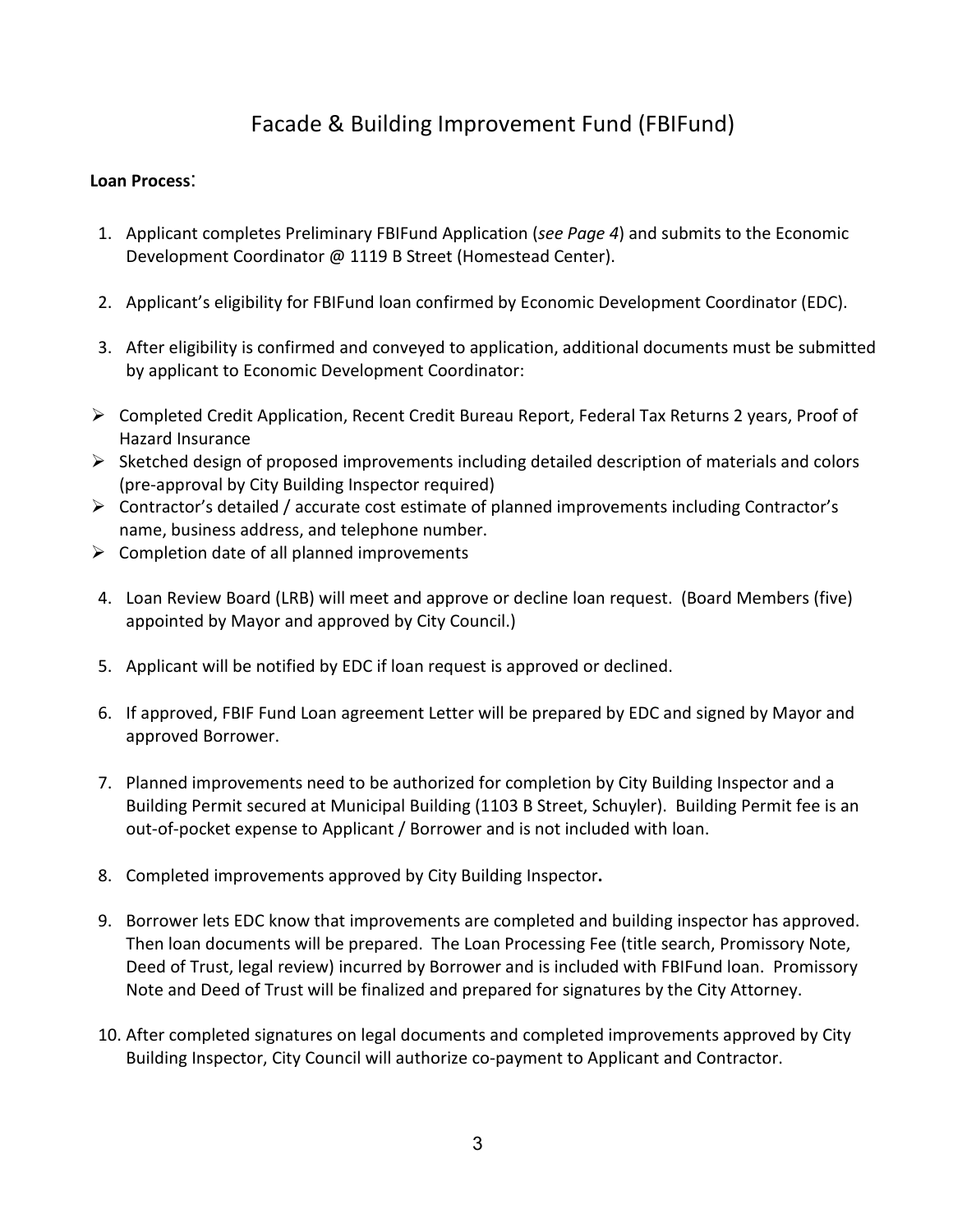# Facade & Building Improvement Fund (FBIFund)

## **Loan Process**:

- 1. Applicant completes Preliminary FBIFund Application (*see Page 4*) and submits to the Economic Development Coordinator @ 1119 B Street (Homestead Center).
- 2. Applicant's eligibility for FBIFund loan confirmed by Economic Development Coordinator (EDC).
- 3. After eligibility is confirmed and conveyed to application, additional documents must be submitted by applicant to Economic Development Coordinator:
- Completed Credit Application, Recent Credit Bureau Report, Federal Tax Returns 2 years, Proof of Hazard Insurance
- $\triangleright$  Sketched design of proposed improvements including detailed description of materials and colors (pre-approval by City Building Inspector required)
- $\triangleright$  Contractor's detailed / accurate cost estimate of planned improvements including Contractor's name, business address, and telephone number.
- $\triangleright$  Completion date of all planned improvements
- 4. Loan Review Board (LRB) will meet and approve or decline loan request. (Board Members (five) appointed by Mayor and approved by City Council.)
- 5. Applicant will be notified by EDC if loan request is approved or declined.
- 6. If approved, FBIF Fund Loan agreement Letter will be prepared by EDC and signed by Mayor and approved Borrower.
- 7. Planned improvements need to be authorized for completion by City Building Inspector and a Building Permit secured at Municipal Building (1103 B Street, Schuyler). Building Permit fee is an out-of-pocket expense to Applicant / Borrower and is not included with loan.
- 8. Completed improvements approved by City Building Inspector**.**
- 9. Borrower lets EDC know that improvements are completed and building inspector has approved. Then loan documents will be prepared. The Loan Processing Fee (title search, Promissory Note, Deed of Trust, legal review) incurred by Borrower and is included with FBIFund loan. Promissory Note and Deed of Trust will be finalized and prepared for signatures by the City Attorney.
- 10. After completed signatures on legal documents and completed improvements approved by City Building Inspector, City Council will authorize co-payment to Applicant and Contractor.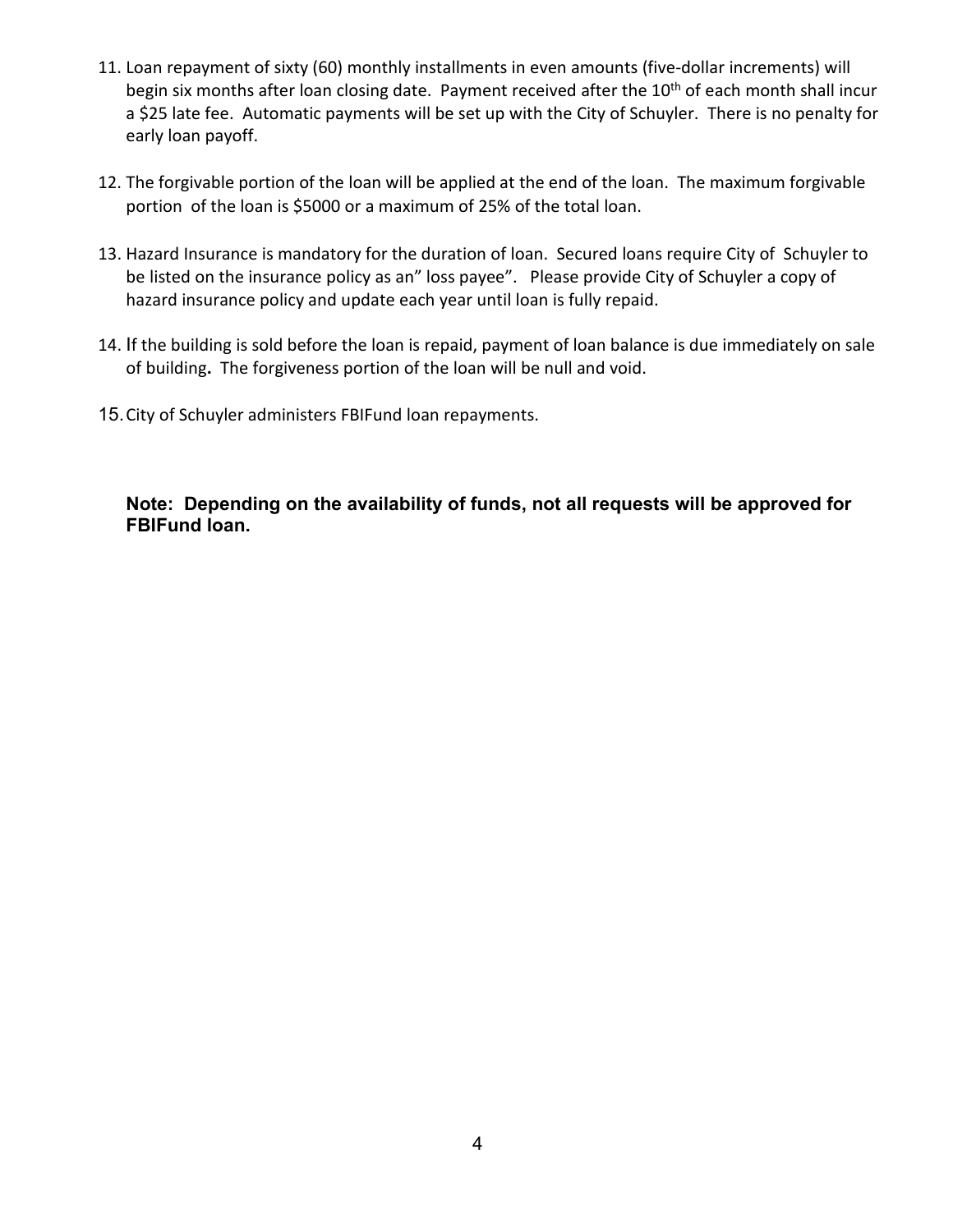- 11. Loan repayment of sixty (60) monthly installments in even amounts (five-dollar increments) will begin six months after loan closing date. Payment received after the 10<sup>th</sup> of each month shall incur a \$25 late fee. Automatic payments will be set up with the City of Schuyler. There is no penalty for early loan payoff.
- 12. The forgivable portion of the loan will be applied at the end of the loan. The maximum forgivable portion of the loan is \$5000 or a maximum of 25% of the total loan.
- 13. Hazard Insurance is mandatory for the duration of loan. Secured loans require City of Schuyler to be listed on the insurance policy as an" loss payee". Please provide City of Schuyler a copy of hazard insurance policy and update each year until loan is fully repaid.
- 14. If the building is sold before the loan is repaid, payment of loan balance is due immediately on sale of building**.** The forgiveness portion of the loan will be null and void.
- 15.City of Schuyler administers FBIFund loan repayments.

**Note: Depending on the availability of funds, not all requests will be approved for FBIFund loan.**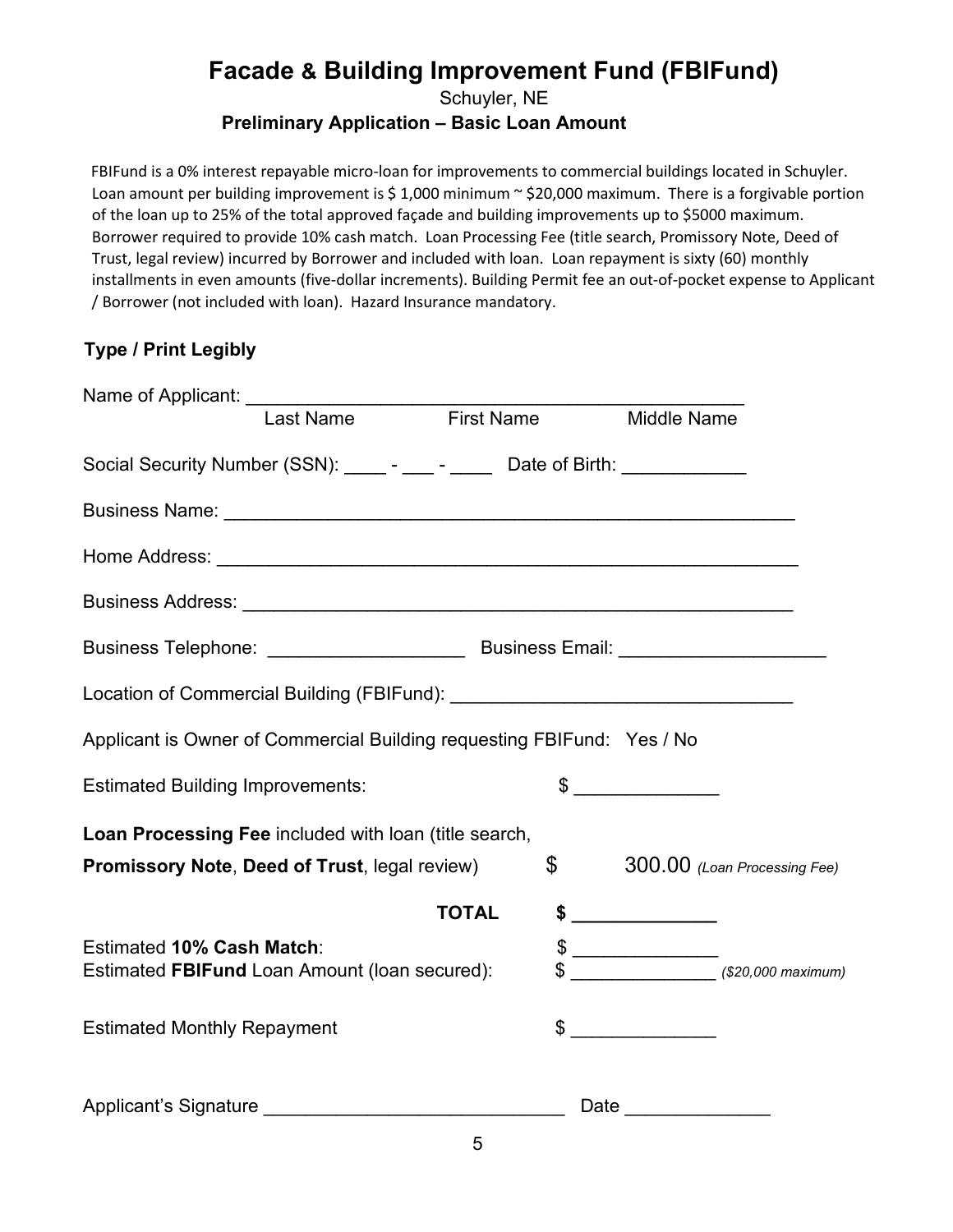# **Facade & Building Improvement Fund (FBIFund)**

Schuyler, NE

## **Preliminary Application – Basic Loan Amount**

FBIFund is a 0% interest repayable micro-loan for improvements to commercial buildings located in Schuyler. Loan amount per building improvement is \$1,000 minimum  $\sim$  \$20,000 maximum. There is a forgivable portion of the loan up to 25% of the total approved façade and building improvements up to \$5000 maximum. Borrower required to provide 10% cash match. Loan Processing Fee (title search, Promissory Note, Deed of Trust, legal review) incurred by Borrower and included with loan. Loan repayment is sixty (60) monthly installments in even amounts (five-dollar increments). Building Permit fee an out-of-pocket expense to Applicant / Borrower (not included with loan). Hazard Insurance mandatory.

# **Type / Print Legibly**

| Name of Applicant: <u>I ast Name</u><br>I ast Name First Name                     |                | Middle Name                                                                                                                                                                                                                                                                                                                                                         |                              |
|-----------------------------------------------------------------------------------|----------------|---------------------------------------------------------------------------------------------------------------------------------------------------------------------------------------------------------------------------------------------------------------------------------------------------------------------------------------------------------------------|------------------------------|
| Social Security Number (SSN): _____- - ____- Date of Birth: ____________          |                |                                                                                                                                                                                                                                                                                                                                                                     |                              |
|                                                                                   |                |                                                                                                                                                                                                                                                                                                                                                                     |                              |
|                                                                                   |                |                                                                                                                                                                                                                                                                                                                                                                     |                              |
|                                                                                   |                |                                                                                                                                                                                                                                                                                                                                                                     |                              |
|                                                                                   |                |                                                                                                                                                                                                                                                                                                                                                                     |                              |
|                                                                                   |                |                                                                                                                                                                                                                                                                                                                                                                     |                              |
| Applicant is Owner of Commercial Building requesting FBIFund: Yes / No            |                |                                                                                                                                                                                                                                                                                                                                                                     |                              |
| <b>Estimated Building Improvements:</b>                                           |                | $\begin{picture}(20,10) \put(0,0){\vector(1,0){100}} \put(15,0){\vector(1,0){100}} \put(15,0){\vector(1,0){100}} \put(15,0){\vector(1,0){100}} \put(15,0){\vector(1,0){100}} \put(15,0){\vector(1,0){100}} \put(15,0){\vector(1,0){100}} \put(15,0){\vector(1,0){100}} \put(15,0){\vector(1,0){100}} \put(15,0){\vector(1,0){100}} \put(15,0){\vector(1,0){100}} \$ |                              |
| Loan Processing Fee included with loan (title search,                             |                |                                                                                                                                                                                                                                                                                                                                                                     |                              |
| Promissory Note, Deed of Trust, legal review)                                     | $\mathfrak{S}$ |                                                                                                                                                                                                                                                                                                                                                                     | 300.00 (Loan Processing Fee) |
|                                                                                   | <b>TOTAL</b>   | $$$ ___________________                                                                                                                                                                                                                                                                                                                                             |                              |
| <b>Estimated 10% Cash Match:</b><br>Estimated FBIFund Loan Amount (Ioan secured): |                | $\frac{1}{2}$ (\$20,000 maximum)                                                                                                                                                                                                                                                                                                                                    |                              |
| <b>Estimated Monthly Repayment</b>                                                |                | $\qquad \qquad \$$                                                                                                                                                                                                                                                                                                                                                  |                              |
|                                                                                   |                | Date                                                                                                                                                                                                                                                                                                                                                                |                              |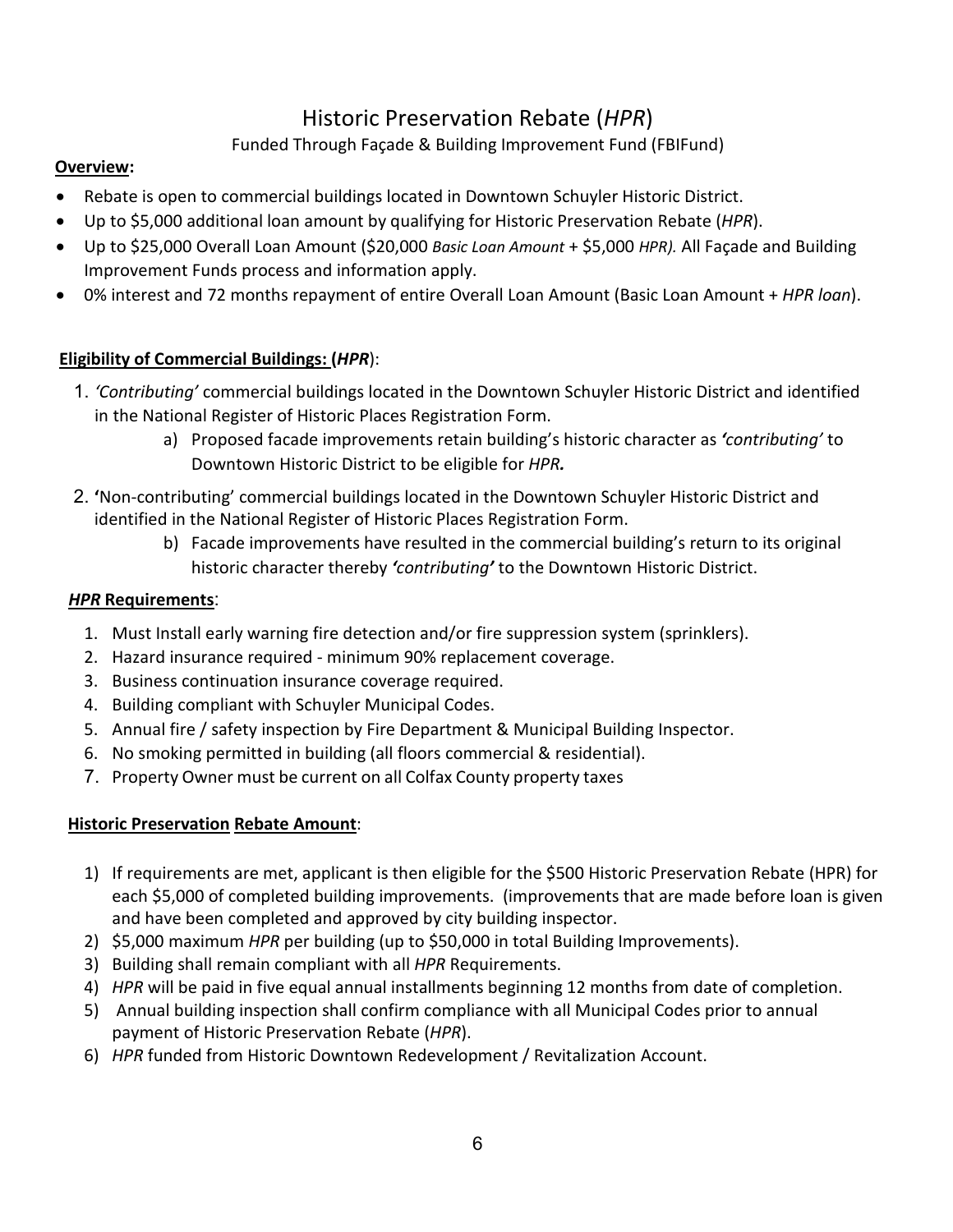# Historic Preservation Rebate (*HPR*)

# Funded Through Façade & Building Improvement Fund (FBIFund)

## **Overview:**

- Rebate is open to commercial buildings located in Downtown Schuyler Historic District.
- Up to \$5,000 additional loan amount by qualifying for Historic Preservation Rebate (*HPR*).
- Up to \$25,000 Overall Loan Amount (\$20,000 *Basic Loan Amount* + \$5,000 *HPR).* All Façade and Building Improvement Funds process and information apply.
- 0% interest and 72 months repayment of entire Overall Loan Amount (Basic Loan Amount + *HPR loan*).

# **Eligibility of Commercial Buildings: (***HPR*):

- 1. *'Contributing'* commercial buildings located in the Downtown Schuyler Historic District and identified in the National Register of Historic Places Registration Form.
	- a) Proposed facade improvements retain building's historic character as *'contributing'* to Downtown Historic District to be eligible for *HPR.*
- 2. **'**Non-contributing' commercial buildings located in the Downtown Schuyler Historic District and identified in the National Register of Historic Places Registration Form.
	- b) Facade improvements have resulted in the commercial building's return to its original historic character thereby *'contributing'* to the Downtown Historic District.

## *HPR* **Requirements**:

- 1. Must Install early warning fire detection and/or fire suppression system (sprinklers).
- 2. Hazard insurance required minimum 90% replacement coverage.
- 3. Business continuation insurance coverage required.
- 4. Building compliant with Schuyler Municipal Codes.
- 5. Annual fire / safety inspection by Fire Department & Municipal Building Inspector.
- 6. No smoking permitted in building (all floors commercial & residential).
- 7. Property Owner must be current on all Colfax County property taxes

## **Historic Preservation Rebate Amount**:

- 1) If requirements are met, applicant is then eligible for the \$500 Historic Preservation Rebate (HPR) for each \$5,000 of completed building improvements. (improvements that are made before loan is given and have been completed and approved by city building inspector.
- 2) \$5,000 maximum *HPR* per building (up to \$50,000 in total Building Improvements).
- 3) Building shall remain compliant with all *HPR* Requirements.
- 4) *HPR* will be paid in five equal annual installments beginning 12 months from date of completion.
- 5) Annual building inspection shall confirm compliance with all Municipal Codes prior to annual payment of Historic Preservation Rebate (*HPR*).
- 6) *HPR* funded from Historic Downtown Redevelopment / Revitalization Account.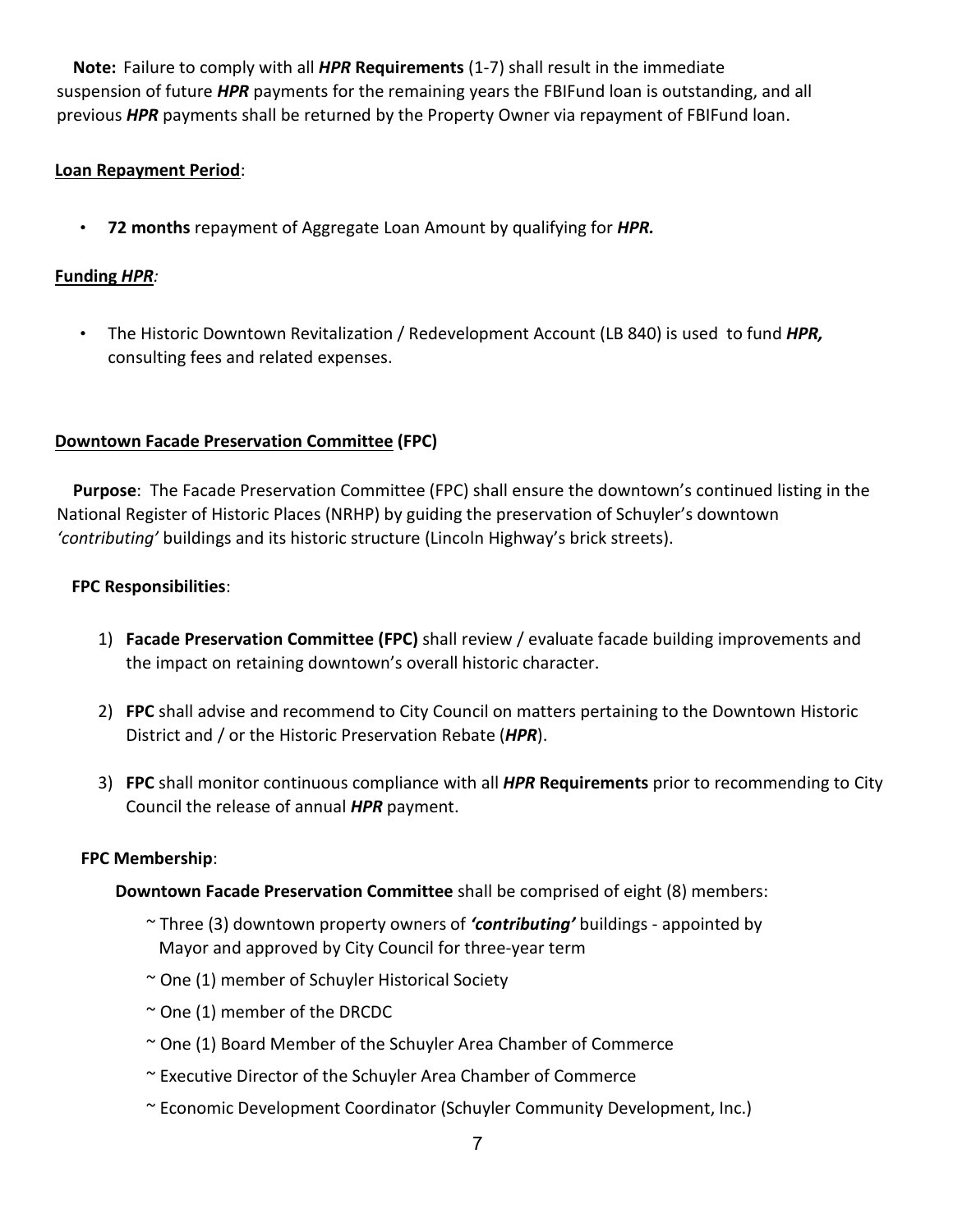**Note:** Failure to comply with all *HPR* **Requirements** (1-7) shall result in the immediate suspension of future *HPR* payments for the remaining years the FBIFund loan is outstanding, and all previous *HPR* payments shall be returned by the Property Owner via repayment of FBIFund loan.

## **Loan Repayment Period**:

• **72 months** repayment of Aggregate Loan Amount by qualifying for *HPR.*

### **Funding** *HPR:*

• The Historic Downtown Revitalization / Redevelopment Account (LB 840) is used to fund *HPR,*  consulting fees and related expenses.

### **Downtown Facade Preservation Committee (FPC)**

 **Purpose**: The Facade Preservation Committee (FPC) shall ensure the downtown's continued listing in the National Register of Historic Places (NRHP) by guiding the preservation of Schuyler's downtown *'contributing'* buildings and its historic structure (Lincoln Highway's brick streets).

### **FPC Responsibilities**:

- 1) **Facade Preservation Committee (FPC)** shall review / evaluate facade building improvements and the impact on retaining downtown's overall historic character.
- 2) **FPC** shall advise and recommend to City Council on matters pertaining to the Downtown Historic District and / or the Historic Preservation Rebate (*HPR*).
- 3) **FPC** shall monitor continuous compliance with all *HPR* **Requirements** prior to recommending to City Council the release of annual *HPR* payment.

#### **FPC Membership**:

**Downtown Facade Preservation Committee** shall be comprised of eight (8) members:

- ~ Three (3) downtown property owners of *'contributing'* buildings appointed by Mayor and approved by City Council for three-year term
- ~ One (1) member of Schuyler Historical Society
- $\sim$  One (1) member of the DRCDC
- ~ One (1) Board Member of the Schuyler Area Chamber of Commerce
- ~ Executive Director of the Schuyler Area Chamber of Commerce
- ~ Economic Development Coordinator (Schuyler Community Development, Inc.)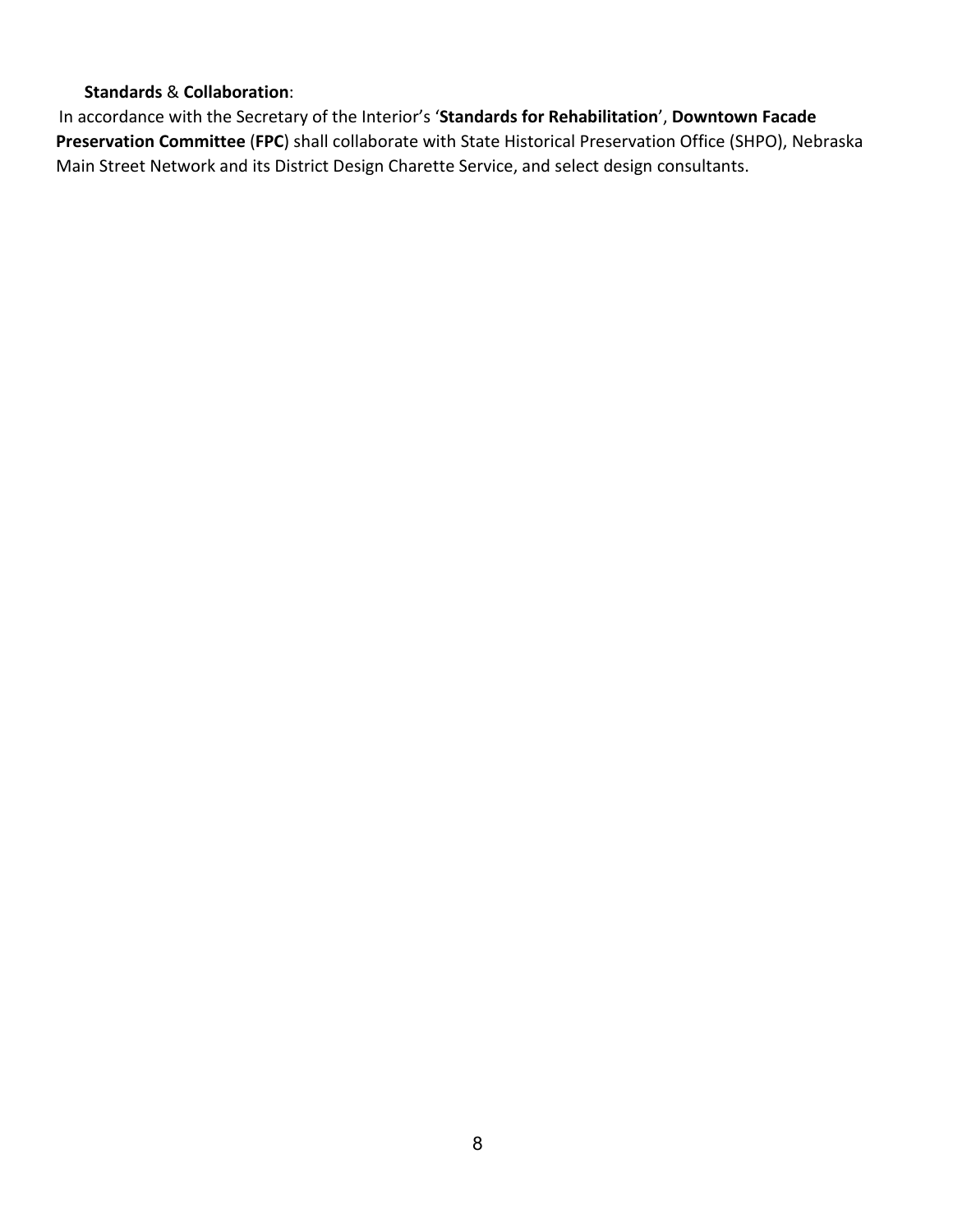#### **Standards** & **Collaboration**:

In accordance with the Secretary of the Interior's '**Standards for Rehabilitation**', **Downtown Facade Preservation Committee** (**FPC**) shall collaborate with State Historical Preservation Office (SHPO), Nebraska Main Street Network and its District Design Charette Service, and select design consultants.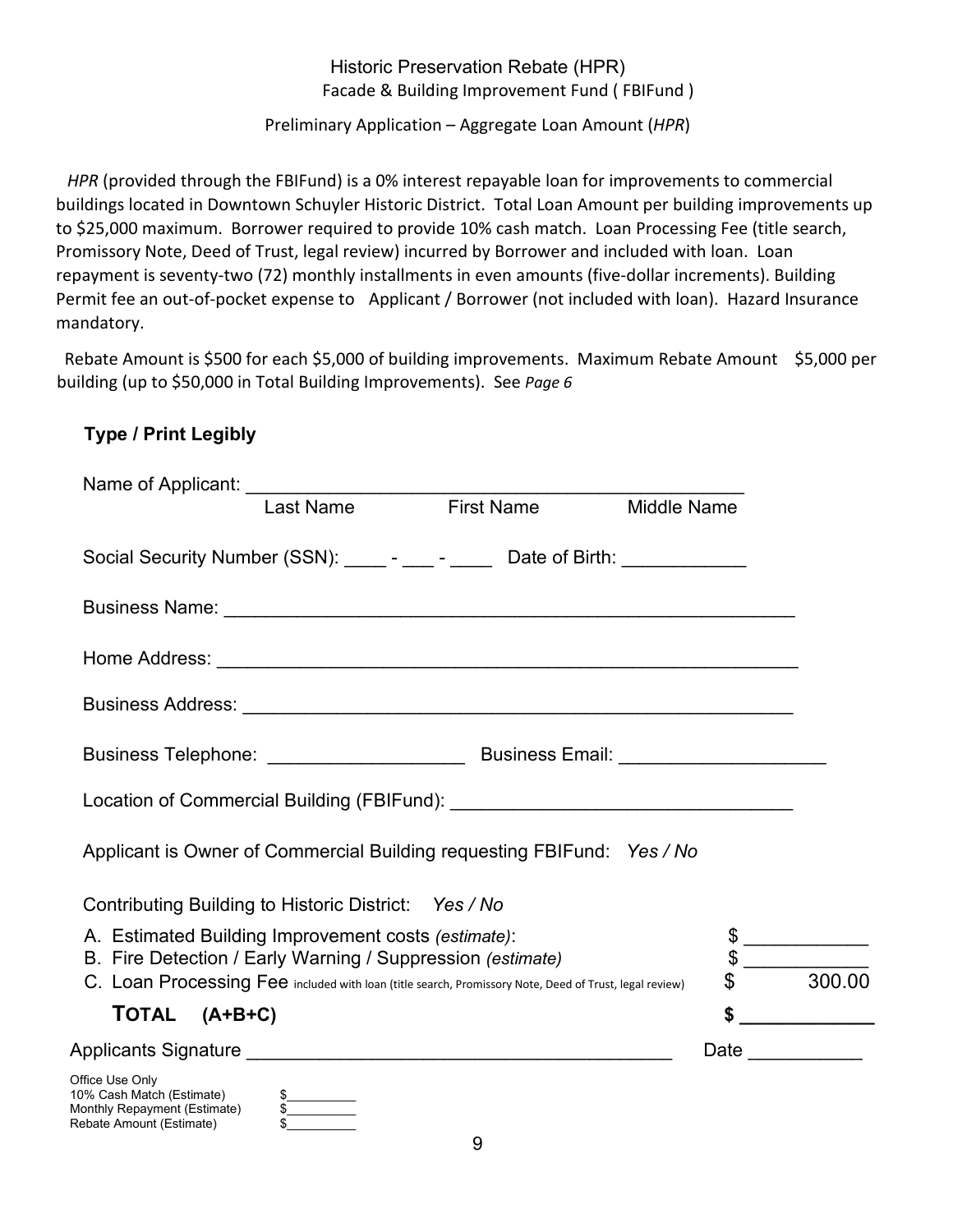## Historic Preservation Rebate (HPR) Facade & Building Improvement Fund ( FBIFund )

Preliminary Application – Aggregate Loan Amount (*HPR*)

*HPR* (provided through the FBIFund) is a 0% interest repayable loan for improvements to commercial buildings located in Downtown Schuyler Historic District. Total Loan Amount per building improvements up to \$25,000 maximum. Borrower required to provide 10% cash match. Loan Processing Fee (title search, Promissory Note, Deed of Trust, legal review) incurred by Borrower and included with loan. Loan repayment is seventy-two (72) monthly installments in even amounts (five-dollar increments). Building Permit fee an out-of-pocket expense to Applicant / Borrower (not included with loan). Hazard Insurance mandatory.

Rebate Amount is \$500 for each \$5,000 of building improvements. Maximum Rebate Amount \$5,000 per building (up to \$50,000 in Total Building Improvements). See *Page 6*

# **Type / Print Legibly**

Rebate Amount (Estimate)  $\sim$  \$

| Name of Applicant:<br>I ast Name<br>First Name                                                                                                                       | <b>Middle Name</b> |        |
|----------------------------------------------------------------------------------------------------------------------------------------------------------------------|--------------------|--------|
| Social Security Number (SSN): _____- - ____- Date of Birth: ____________                                                                                             |                    |        |
|                                                                                                                                                                      |                    |        |
|                                                                                                                                                                      |                    |        |
|                                                                                                                                                                      |                    |        |
|                                                                                                                                                                      |                    |        |
|                                                                                                                                                                      |                    |        |
| Applicant is Owner of Commercial Building requesting FBIFund: Yes / No                                                                                               |                    |        |
| Contributing Building to Historic District: Yes / No                                                                                                                 |                    |        |
| A. Estimated Building Improvement costs (estimate):                                                                                                                  |                    |        |
| B. Fire Detection / Early Warning / Suppression (estimate)<br>C. Loan Processing Fee included with loan (title search, Promissory Note, Deed of Trust, legal review) |                    | 300.00 |
| TOTAL (A+B+C)                                                                                                                                                        | \$                 |        |
|                                                                                                                                                                      |                    |        |
| Office Use Only<br>10% Cash Match (Estimate)<br>Monthly Repayment (Estimate)<br>$\frac{\text{S}}{\text{S}}$                                                          |                    |        |